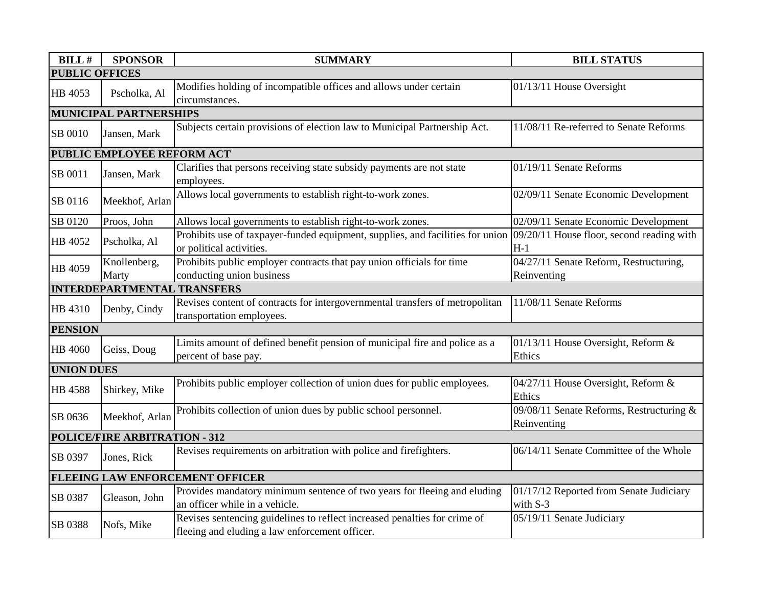| <b>BILL#</b>                           | <b>SPONSOR</b>                     | <b>SUMMARY</b>                                                                 | <b>BILL STATUS</b>                        |  |  |
|----------------------------------------|------------------------------------|--------------------------------------------------------------------------------|-------------------------------------------|--|--|
| <b>PUBLIC OFFICES</b>                  |                                    |                                                                                |                                           |  |  |
| HB 4053                                | Pscholka, Al                       | Modifies holding of incompatible offices and allows under certain              | 01/13/11 House Oversight                  |  |  |
|                                        |                                    | circumstances.                                                                 |                                           |  |  |
|                                        | <b>MUNICIPAL PARTNERSHIPS</b>      |                                                                                |                                           |  |  |
| SB 0010                                | Jansen, Mark                       | Subjects certain provisions of election law to Municipal Partnership Act.      | 11/08/11 Re-referred to Senate Reforms    |  |  |
|                                        | PUBLIC EMPLOYEE REFORM ACT         |                                                                                |                                           |  |  |
| SB 0011                                | Jansen, Mark                       | Clarifies that persons receiving state subsidy payments are not state          | 01/19/11 Senate Reforms                   |  |  |
|                                        |                                    | employees.                                                                     |                                           |  |  |
| SB 0116                                | Meekhof, Arlan                     | Allows local governments to establish right-to-work zones.                     | 02/09/11 Senate Economic Development      |  |  |
| SB 0120                                | Proos, John                        | Allows local governments to establish right-to-work zones.                     | 02/09/11 Senate Economic Development      |  |  |
|                                        |                                    | Prohibits use of taxpayer-funded equipment, supplies, and facilities for union | 09/20/11 House floor, second reading with |  |  |
| HB 4052                                | Pscholka, Al                       | or political activities.                                                       | $H-1$                                     |  |  |
|                                        | Knollenberg,                       | Prohibits public employer contracts that pay union officials for time          | 04/27/11 Senate Reform, Restructuring,    |  |  |
| HB 4059                                | Marty                              | conducting union business                                                      | Reinventing                               |  |  |
|                                        | <b>INTERDEPARTMENTAL TRANSFERS</b> |                                                                                |                                           |  |  |
| HB 4310                                | Denby, Cindy                       | Revises content of contracts for intergovernmental transfers of metropolitan   | 11/08/11 Senate Reforms                   |  |  |
|                                        |                                    | transportation employees.                                                      |                                           |  |  |
| <b>PENSION</b>                         |                                    |                                                                                |                                           |  |  |
| HB 4060                                | Geiss, Doug                        | Limits amount of defined benefit pension of municipal fire and police as a     | 01/13/11 House Oversight, Reform &        |  |  |
|                                        |                                    | percent of base pay.                                                           | Ethics                                    |  |  |
| <b>UNION DUES</b>                      |                                    |                                                                                |                                           |  |  |
| HB 4588                                | Shirkey, Mike                      | Prohibits public employer collection of union dues for public employees.       | 04/27/11 House Oversight, Reform &        |  |  |
|                                        |                                    |                                                                                | Ethics                                    |  |  |
| SB 0636                                | Meekhof, Arlan                     | Prohibits collection of union dues by public school personnel.                 | 09/08/11 Senate Reforms, Restructuring &  |  |  |
|                                        |                                    |                                                                                | Reinventing                               |  |  |
| POLICE/FIRE ARBITRATION - 312          |                                    |                                                                                |                                           |  |  |
| SB 0397                                | Jones, Rick                        | Revises requirements on arbitration with police and firefighters.              | 06/14/11 Senate Committee of the Whole    |  |  |
| <b>FLEEING LAW ENFORCEMENT OFFICER</b> |                                    |                                                                                |                                           |  |  |
| SB 0387                                | Gleason, John                      | Provides mandatory minimum sentence of two years for fleeing and eluding       | 01/17/12 Reported from Senate Judiciary   |  |  |
|                                        |                                    | an officer while in a vehicle.                                                 | with S-3                                  |  |  |
| SB 0388                                | Nofs, Mike                         | Revises sentencing guidelines to reflect increased penalties for crime of      | 05/19/11 Senate Judiciary                 |  |  |
|                                        |                                    | fleeing and eluding a law enforcement officer.                                 |                                           |  |  |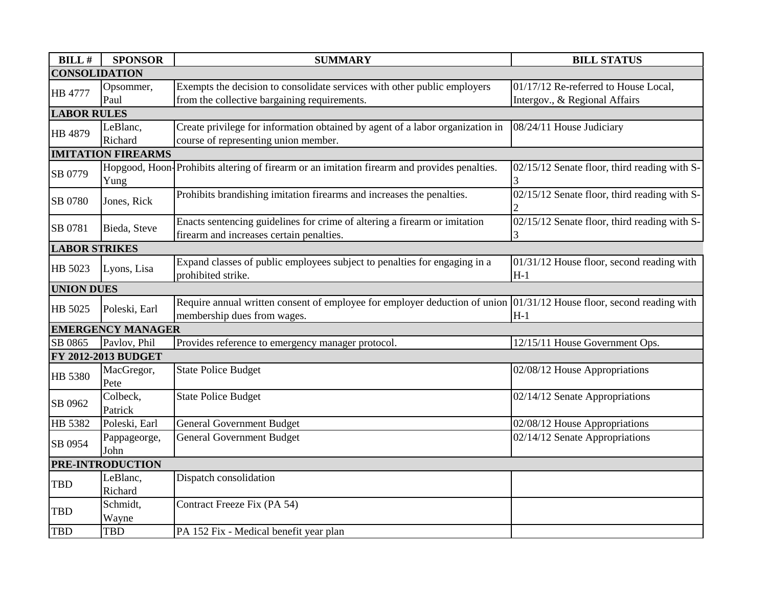| <b>BILL#</b>               | <b>SPONSOR</b>           | <b>SUMMARY</b>                                                                                                         | <b>BILL STATUS</b>                           |  |  |  |
|----------------------------|--------------------------|------------------------------------------------------------------------------------------------------------------------|----------------------------------------------|--|--|--|
| <b>CONSOLIDATION</b>       |                          |                                                                                                                        |                                              |  |  |  |
| <b>HB 4777</b>             | Opsommer,                | Exempts the decision to consolidate services with other public employers                                               | 01/17/12 Re-referred to House Local,         |  |  |  |
|                            | Paul                     | from the collective bargaining requirements.                                                                           | Intergov., & Regional Affairs                |  |  |  |
| <b>LABOR RULES</b>         |                          |                                                                                                                        |                                              |  |  |  |
| HB 4879                    | LeBlanc,                 | Create privilege for information obtained by agent of a labor organization in                                          | 08/24/11 House Judiciary                     |  |  |  |
|                            | Richard                  | course of representing union member.                                                                                   |                                              |  |  |  |
| <b>IMITATION FIREARMS</b>  |                          |                                                                                                                        |                                              |  |  |  |
|                            |                          | Hopgood, Hoon-Prohibits altering of firearm or an imitation firearm and provides penalties.                            | 02/15/12 Senate floor, third reading with S- |  |  |  |
| SB 0779                    | Yung                     |                                                                                                                        |                                              |  |  |  |
|                            | Jones, Rick              | Prohibits brandishing imitation firearms and increases the penalties.                                                  | 02/15/12 Senate floor, third reading with S- |  |  |  |
| SB 0780                    |                          |                                                                                                                        |                                              |  |  |  |
| SB 0781                    |                          | Enacts sentencing guidelines for crime of altering a firearm or imitation                                              | 02/15/12 Senate floor, third reading with S- |  |  |  |
|                            | Bieda, Steve             | firearm and increases certain penalties.                                                                               | 3                                            |  |  |  |
| <b>LABOR STRIKES</b>       |                          |                                                                                                                        |                                              |  |  |  |
| HB 5023                    |                          | Expand classes of public employees subject to penalties for engaging in a                                              | 01/31/12 House floor, second reading with    |  |  |  |
|                            | Lyons, Lisa              | prohibited strike.                                                                                                     | $H-1$                                        |  |  |  |
| <b>UNION DUES</b>          |                          |                                                                                                                        |                                              |  |  |  |
| HB 5025                    |                          | Require annual written consent of employee for employer deduction of union $01/31/12$ House floor, second reading with |                                              |  |  |  |
|                            | Poleski, Earl            | membership dues from wages.                                                                                            | $H-1$                                        |  |  |  |
|                            | <b>EMERGENCY MANAGER</b> |                                                                                                                        |                                              |  |  |  |
| SB 0865                    | Pavlov, Phil             | Provides reference to emergency manager protocol.                                                                      | 12/15/11 House Government Ops.               |  |  |  |
| <b>FY 2012-2013 BUDGET</b> |                          |                                                                                                                        |                                              |  |  |  |
| HB 5380                    | MacGregor,               | <b>State Police Budget</b>                                                                                             | 02/08/12 House Appropriations                |  |  |  |
|                            | Pete                     |                                                                                                                        |                                              |  |  |  |
| SB 0962                    | Colbeck,                 | <b>State Police Budget</b>                                                                                             | 02/14/12 Senate Appropriations               |  |  |  |
|                            | Patrick                  |                                                                                                                        |                                              |  |  |  |
| HB 5382                    | Poleski, Earl            | <b>General Government Budget</b>                                                                                       | 02/08/12 House Appropriations                |  |  |  |
| SB 0954                    | Pappageorge,             | <b>General Government Budget</b>                                                                                       | 02/14/12 Senate Appropriations               |  |  |  |
|                            | John                     |                                                                                                                        |                                              |  |  |  |
| PRE-INTRODUCTION           |                          |                                                                                                                        |                                              |  |  |  |
| <b>TBD</b>                 | LeBlanc,                 | Dispatch consolidation                                                                                                 |                                              |  |  |  |
|                            | Richard                  |                                                                                                                        |                                              |  |  |  |
|                            | Schmidt,                 | Contract Freeze Fix (PA 54)                                                                                            |                                              |  |  |  |
| <b>TBD</b>                 | Wayne                    |                                                                                                                        |                                              |  |  |  |
| <b>TBD</b>                 | <b>TBD</b>               | PA 152 Fix - Medical benefit year plan                                                                                 |                                              |  |  |  |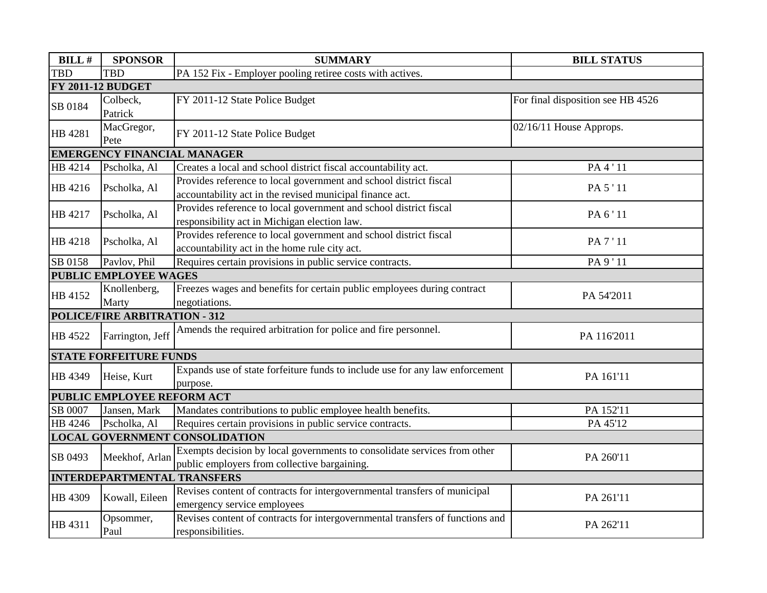| <b>BILL#</b>                          | <b>SPONSOR</b>                     | <b>SUMMARY</b>                                                                | <b>BILL STATUS</b>                |  |  |  |  |
|---------------------------------------|------------------------------------|-------------------------------------------------------------------------------|-----------------------------------|--|--|--|--|
| <b>TBD</b>                            | <b>TBD</b>                         | PA 152 Fix - Employer pooling retiree costs with actives.                     |                                   |  |  |  |  |
| <b>FY 2011-12 BUDGET</b>              |                                    |                                                                               |                                   |  |  |  |  |
| SB 0184                               | Colbeck,                           | FY 2011-12 State Police Budget                                                | For final disposition see HB 4526 |  |  |  |  |
|                                       | Patrick                            |                                                                               |                                   |  |  |  |  |
| HB 4281                               | MacGregor,                         |                                                                               | $02/16/11$ House Approps.         |  |  |  |  |
|                                       | Pete                               | FY 2011-12 State Police Budget                                                |                                   |  |  |  |  |
|                                       | <b>EMERGENCY FINANCIAL MANAGER</b> |                                                                               |                                   |  |  |  |  |
| HB 4214                               | Pscholka, Al                       | Creates a local and school district fiscal accountability act.                | PA 4 ' 11                         |  |  |  |  |
|                                       | Pscholka, Al                       | Provides reference to local government and school district fiscal             | PA 5'11                           |  |  |  |  |
| HB 4216                               |                                    | accountability act in the revised municipal finance act.                      |                                   |  |  |  |  |
| HB 4217                               |                                    | Provides reference to local government and school district fiscal             | PA 6'11                           |  |  |  |  |
|                                       | Pscholka, Al                       | responsibility act in Michigan election law.                                  |                                   |  |  |  |  |
| HB 4218                               | Pscholka, Al                       | Provides reference to local government and school district fiscal             | PA 7 ' 11                         |  |  |  |  |
|                                       |                                    | accountability act in the home rule city act.                                 |                                   |  |  |  |  |
| SB 0158                               | Pavlov, Phil                       | Requires certain provisions in public service contracts.                      | PA 9'11                           |  |  |  |  |
|                                       | PUBLIC EMPLOYEE WAGES              |                                                                               |                                   |  |  |  |  |
| HB 4152                               | Knollenberg,                       | Freezes wages and benefits for certain public employees during contract       | PA 54'2011                        |  |  |  |  |
|                                       | Marty                              | negotiations.                                                                 |                                   |  |  |  |  |
|                                       | POLICE/FIRE ARBITRATION - 312      |                                                                               |                                   |  |  |  |  |
| HB 4522                               | Farrington, Jeff                   | Amends the required arbitration for police and fire personnel.                | PA 116'2011                       |  |  |  |  |
|                                       |                                    |                                                                               |                                   |  |  |  |  |
|                                       | <b>STATE FORFEITURE FUNDS</b>      |                                                                               |                                   |  |  |  |  |
| HB 4349                               | Heise, Kurt                        | Expands use of state forfeiture funds to include use for any law enforcement  | PA 161'11                         |  |  |  |  |
|                                       |                                    | purpose.                                                                      |                                   |  |  |  |  |
|                                       | PUBLIC EMPLOYEE REFORM ACT         |                                                                               |                                   |  |  |  |  |
| SB 0007                               | Jansen, Mark                       | Mandates contributions to public employee health benefits.                    | PA 152'11                         |  |  |  |  |
| HB 4246                               | Pscholka, Al                       | Requires certain provisions in public service contracts.                      | PA 45'12                          |  |  |  |  |
| <b>LOCAL GOVERNMENT CONSOLIDATION</b> |                                    |                                                                               |                                   |  |  |  |  |
| SB 0493                               | Meekhof, Arlan                     | Exempts decision by local governments to consolidate services from other      | PA 260'11                         |  |  |  |  |
|                                       |                                    | public employers from collective bargaining.                                  |                                   |  |  |  |  |
| <b>INTERDEPARTMENTAL TRANSFERS</b>    |                                    |                                                                               |                                   |  |  |  |  |
| HB 4309                               | Kowall, Eileen                     | Revises content of contracts for intergovernmental transfers of municipal     | PA 261'11                         |  |  |  |  |
|                                       |                                    | emergency service employees                                                   |                                   |  |  |  |  |
| HB 4311                               | Opsommer,                          | Revises content of contracts for intergovernmental transfers of functions and | PA 262'11                         |  |  |  |  |
|                                       | Paul                               | responsibilities.                                                             |                                   |  |  |  |  |